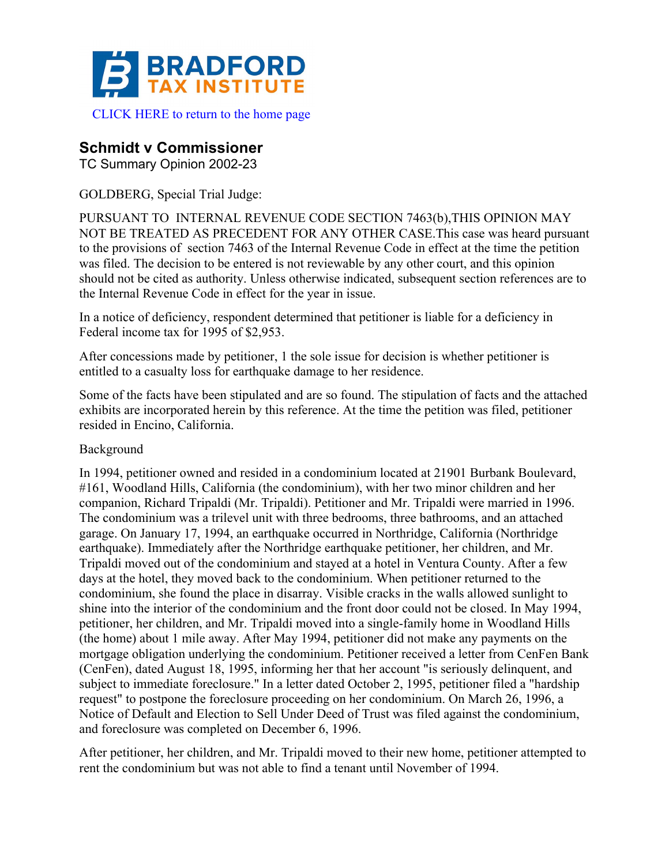

## **Schmidt v Commissioner**

TC Summary Opinion 2002-23

GOLDBERG, Special Trial Judge:

PURSUANT TO INTERNAL REVENUE CODE SECTION 7463(b),THIS OPINION MAY NOT BE TREATED AS PRECEDENT FOR ANY OTHER CASE.This case was heard pursuant to the provisions of section 7463 of the Internal Revenue Code in effect at the time the petition was filed. The decision to be entered is not reviewable by any other court, and this opinion should not be cited as authority. Unless otherwise indicated, subsequent section references are to the Internal Revenue Code in effect for the year in issue.

In a notice of deficiency, respondent determined that petitioner is liable for a deficiency in Federal income tax for 1995 of \$2,953.

After concessions made by petitioner, 1 the sole issue for decision is whether petitioner is entitled to a casualty loss for earthquake damage to her residence.

Some of the facts have been stipulated and are so found. The stipulation of facts and the attached exhibits are incorporated herein by this reference. At the time the petition was filed, petitioner resided in Encino, California.

## Background

In 1994, petitioner owned and resided in a condominium located at 21901 Burbank Boulevard, #161, Woodland Hills, California (the condominium), with her two minor children and her companion, Richard Tripaldi (Mr. Tripaldi). Petitioner and Mr. Tripaldi were married in 1996. The condominium was a trilevel unit with three bedrooms, three bathrooms, and an attached garage. On January 17, 1994, an earthquake occurred in Northridge, California (Northridge earthquake). Immediately after the Northridge earthquake petitioner, her children, and Mr. Tripaldi moved out of the condominium and stayed at a hotel in Ventura County. After a few days at the hotel, they moved back to the condominium. When petitioner returned to the condominium, she found the place in disarray. Visible cracks in the walls allowed sunlight to shine into the interior of the condominium and the front door could not be closed. In May 1994, petitioner, her children, and Mr. Tripaldi moved into a single-family home in Woodland Hills (the home) about 1 mile away. After May 1994, petitioner did not make any payments on the mortgage obligation underlying the condominium. Petitioner received a letter from CenFen Bank (CenFen), dated August 18, 1995, informing her that her account "is seriously delinquent, and subject to immediate foreclosure." In a letter dated October 2, 1995, petitioner filed a "hardship request" to postpone the foreclosure proceeding on her condominium. On March 26, 1996, a Notice of Default and Election to Sell Under Deed of Trust was filed against the condominium, and foreclosure was completed on December 6, 1996.

After petitioner, her children, and Mr. Tripaldi moved to their new home, petitioner attempted to rent the condominium but was not able to find a tenant until November of 1994.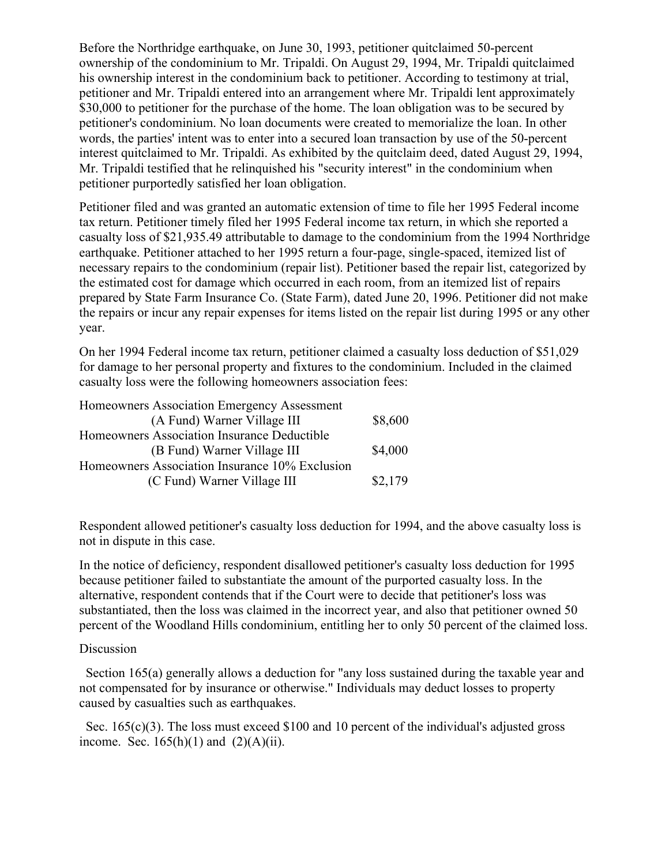Before the Northridge earthquake, on June 30, 1993, petitioner quitclaimed 50-percent ownership of the condominium to Mr. Tripaldi. On August 29, 1994, Mr. Tripaldi quitclaimed his ownership interest in the condominium back to petitioner. According to testimony at trial, petitioner and Mr. Tripaldi entered into an arrangement where Mr. Tripaldi lent approximately \$30,000 to petitioner for the purchase of the home. The loan obligation was to be secured by petitioner's condominium. No loan documents were created to memorialize the loan. In other words, the parties' intent was to enter into a secured loan transaction by use of the 50-percent interest quitclaimed to Mr. Tripaldi. As exhibited by the quitclaim deed, dated August 29, 1994, Mr. Tripaldi testified that he relinquished his "security interest" in the condominium when petitioner purportedly satisfied her loan obligation.

Petitioner filed and was granted an automatic extension of time to file her 1995 Federal income tax return. Petitioner timely filed her 1995 Federal income tax return, in which she reported a casualty loss of \$21,935.49 attributable to damage to the condominium from the 1994 Northridge earthquake. Petitioner attached to her 1995 return a four-page, single-spaced, itemized list of necessary repairs to the condominium (repair list). Petitioner based the repair list, categorized by the estimated cost for damage which occurred in each room, from an itemized list of repairs prepared by State Farm Insurance Co. (State Farm), dated June 20, 1996. Petitioner did not make the repairs or incur any repair expenses for items listed on the repair list during 1995 or any other year.

On her 1994 Federal income tax return, petitioner claimed a casualty loss deduction of \$51,029 for damage to her personal property and fixtures to the condominium. Included in the claimed casualty loss were the following homeowners association fees:

| Homeowners Association Emergency Assessment    |         |
|------------------------------------------------|---------|
| (A Fund) Warner Village III                    | \$8,600 |
| Homeowners Association Insurance Deductible    |         |
| (B Fund) Warner Village III                    | \$4,000 |
| Homeowners Association Insurance 10% Exclusion |         |
| (C Fund) Warner Village III                    | \$2,179 |

Respondent allowed petitioner's casualty loss deduction for 1994, and the above casualty loss is not in dispute in this case.

In the notice of deficiency, respondent disallowed petitioner's casualty loss deduction for 1995 because petitioner failed to substantiate the amount of the purported casualty loss. In the alternative, respondent contends that if the Court were to decide that petitioner's loss was substantiated, then the loss was claimed in the incorrect year, and also that petitioner owned 50 percent of the Woodland Hills condominium, entitling her to only 50 percent of the claimed loss.

## Discussion

 Section 165(a) generally allows a deduction for "any loss sustained during the taxable year and not compensated for by insurance or otherwise." Individuals may deduct losses to property caused by casualties such as earthquakes.

Sec. 165(c)(3). The loss must exceed \$100 and 10 percent of the individual's adjusted gross income. Sec.  $165(h)(1)$  and  $(2)(A)(ii)$ .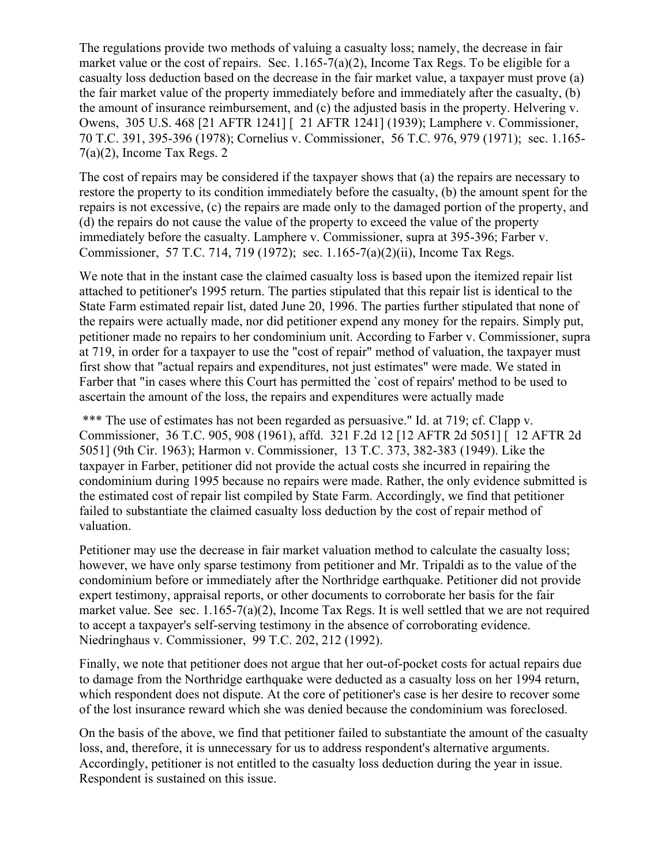The regulations provide two methods of valuing a casualty loss; namely, the decrease in fair market value or the cost of repairs. Sec.  $1.165-7(a)(2)$ , Income Tax Regs. To be eligible for a casualty loss deduction based on the decrease in the fair market value, a taxpayer must prove (a) the fair market value of the property immediately before and immediately after the casualty, (b) the amount of insurance reimbursement, and (c) the adjusted basis in the property. Helvering v. Owens, 305 U.S. 468 [21 AFTR 1241] [ 21 AFTR 1241] (1939); Lamphere v. Commissioner, 70 T.C. 391, 395-396 (1978); Cornelius v. Commissioner, 56 T.C. 976, 979 (1971); sec. 1.165-  $7(a)(2)$ , Income Tax Regs. 2

The cost of repairs may be considered if the taxpayer shows that (a) the repairs are necessary to restore the property to its condition immediately before the casualty, (b) the amount spent for the repairs is not excessive, (c) the repairs are made only to the damaged portion of the property, and (d) the repairs do not cause the value of the property to exceed the value of the property immediately before the casualty. Lamphere v. Commissioner, supra at 395-396; Farber v. Commissioner, 57 T.C. 714, 719 (1972); sec. 1.165-7(a)(2)(ii), Income Tax Regs.

We note that in the instant case the claimed casualty loss is based upon the itemized repair list attached to petitioner's 1995 return. The parties stipulated that this repair list is identical to the State Farm estimated repair list, dated June 20, 1996. The parties further stipulated that none of the repairs were actually made, nor did petitioner expend any money for the repairs. Simply put, petitioner made no repairs to her condominium unit. According to Farber v. Commissioner, supra at 719, in order for a taxpayer to use the "cost of repair" method of valuation, the taxpayer must first show that "actual repairs and expenditures, not just estimates" were made. We stated in Farber that "in cases where this Court has permitted the `cost of repairs' method to be used to ascertain the amount of the loss, the repairs and expenditures were actually made

\*\*\* The use of estimates has not been regarded as persuasive." Id. at 719; cf. Clapp v. Commissioner, 36 T.C. 905, 908 (1961), affd. 321 F.2d 12 [12 AFTR 2d 5051] [ 12 AFTR 2d 5051] (9th Cir. 1963); Harmon v. Commissioner, 13 T.C. 373, 382-383 (1949). Like the taxpayer in Farber, petitioner did not provide the actual costs she incurred in repairing the condominium during 1995 because no repairs were made. Rather, the only evidence submitted is the estimated cost of repair list compiled by State Farm. Accordingly, we find that petitioner failed to substantiate the claimed casualty loss deduction by the cost of repair method of valuation.

Petitioner may use the decrease in fair market valuation method to calculate the casualty loss; however, we have only sparse testimony from petitioner and Mr. Tripaldi as to the value of the condominium before or immediately after the Northridge earthquake. Petitioner did not provide expert testimony, appraisal reports, or other documents to corroborate her basis for the fair market value. See sec. 1.165-7(a)(2), Income Tax Regs. It is well settled that we are not required to accept a taxpayer's self-serving testimony in the absence of corroborating evidence. Niedringhaus v. Commissioner, 99 T.C. 202, 212 (1992).

Finally, we note that petitioner does not argue that her out-of-pocket costs for actual repairs due to damage from the Northridge earthquake were deducted as a casualty loss on her 1994 return, which respondent does not dispute. At the core of petitioner's case is her desire to recover some of the lost insurance reward which she was denied because the condominium was foreclosed.

On the basis of the above, we find that petitioner failed to substantiate the amount of the casualty loss, and, therefore, it is unnecessary for us to address respondent's alternative arguments. Accordingly, petitioner is not entitled to the casualty loss deduction during the year in issue. Respondent is sustained on this issue.